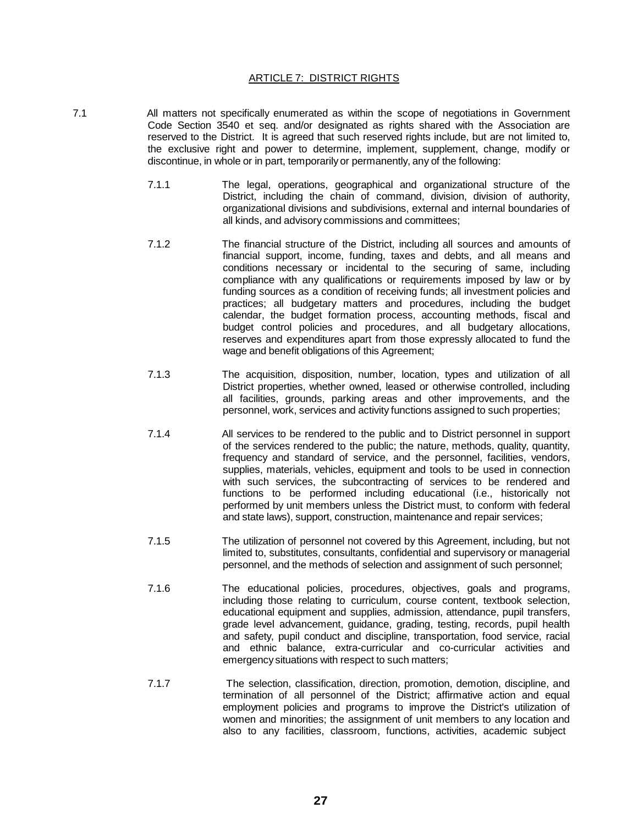## ARTICLE 7: DISTRICT RIGHTS

- 7.1 All matters not specifically enumerated as within the scope of negotiations in Government Code Section 3540 et seq. and/or designated as rights shared with the Association are reserved to the District. It is agreed that such reserved rights include, but are not limited to, the exclusive right and power to determine, implement, supplement, change, modify or discontinue, in whole or in part, temporarily or permanently, any of the following:
	- 7.1.1 The legal, operations, geographical and organizational structure of the District, including the chain of command, division, division of authority, organizational divisions and subdivisions, external and internal boundaries of all kinds, and advisory commissions and committees;
	- 7.1.2 The financial structure of the District, including all sources and amounts of financial support, income, funding, taxes and debts, and all means and conditions necessary or incidental to the securing of same, including compliance with any qualifications or requirements imposed by law or by funding sources as a condition of receiving funds; all investment policies and practices; all budgetary matters and procedures, including the budget calendar, the budget formation process, accounting methods, fiscal and budget control policies and procedures, and all budgetary allocations, reserves and expenditures apart from those expressly allocated to fund the wage and benefit obligations of this Agreement;
	- 7.1.3 The acquisition, disposition, number, location, types and utilization of all District properties, whether owned, leased or otherwise controlled, including all facilities, grounds, parking areas and other improvements, and the personnel, work, services and activity functions assigned to such properties;
	- 7.1.4 All services to be rendered to the public and to District personnel in support of the services rendered to the public; the nature, methods, quality, quantity, frequency and standard of service, and the personnel, facilities, vendors, supplies, materials, vehicles, equipment and tools to be used in connection with such services, the subcontracting of services to be rendered and functions to be performed including educational (i.e., historically not performed by unit members unless the District must, to conform with federal and state laws), support, construction, maintenance and repair services;
	- 7.1.5 The utilization of personnel not covered by this Agreement, including, but not limited to, substitutes, consultants, confidential and supervisory or managerial personnel, and the methods of selection and assignment of such personnel;
	- 7.1.6 The educational policies, procedures, objectives, goals and programs, including those relating to curriculum, course content, textbook selection, educational equipment and supplies, admission, attendance, pupil transfers, grade level advancement, guidance, grading, testing, records, pupil health and safety, pupil conduct and discipline, transportation, food service, racial and ethnic balance, extra-curricular and co-curricular activities and emergency situations with respect to such matters;
	- 7.1.7 The selection, classification, direction, promotion, demotion, discipline, and termination of all personnel of the District; affirmative action and equal employment policies and programs to improve the District's utilization of women and minorities; the assignment of unit members to any location and also to any facilities, classroom, functions, activities, academic subject